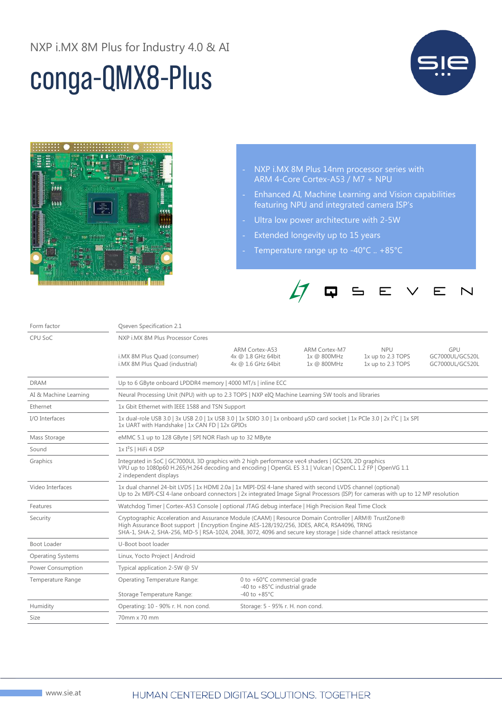## conga-QMX8-Plus





- NXP i.MX 8M Plus 14nm processor series with ARM 4-Core Cortex-A53 / M7 + NPU
- Enhanced AI, Machine Learning and Vision capabilities featuring NPU and integrated camera ISP's
- Ultra low power architecture with 2-5W
- Extended longevity up to 15 years
- Temperature range up to -40°C .. +85°C



| Form factor              | Qseven Specification 2.1                                                                                                                                                                                                                                                                                                |                                                              |                                                    |                                                      |                                           |  |
|--------------------------|-------------------------------------------------------------------------------------------------------------------------------------------------------------------------------------------------------------------------------------------------------------------------------------------------------------------------|--------------------------------------------------------------|----------------------------------------------------|------------------------------------------------------|-------------------------------------------|--|
| CPU SoC                  | NXP i.MX 8M Plus Processor Cores                                                                                                                                                                                                                                                                                        |                                                              |                                                    |                                                      |                                           |  |
|                          | i.MX 8M Plus Quad (consumer)<br>i.MX 8M Plus Quad (industrial)                                                                                                                                                                                                                                                          | ARM Cortex-A53<br>4x @ 1.8 GHz 64bit<br>4x @ 1.6 GHz 64bit   | <b>ARM Cortex-M7</b><br>1x @ 800MHz<br>1x @ 800MHz | <b>NPU</b><br>1x up to 2.3 TOPS<br>1x up to 2.3 TOPS | GPU<br>GC7000UL/GC520L<br>GC7000UL/GC520L |  |
| <b>DRAM</b>              | Up to 6 GByte onboard LPDDR4 memory   4000 MT/s   inline ECC                                                                                                                                                                                                                                                            |                                                              |                                                    |                                                      |                                           |  |
| AI & Machine Learning    | Neural Processing Unit (NPU) with up to 2.3 TOPS   NXP eIQ Machine Learning SW tools and libraries                                                                                                                                                                                                                      |                                                              |                                                    |                                                      |                                           |  |
| Ethernet                 | 1x Gbit Ethernet with IEEE 1588 and TSN Support                                                                                                                                                                                                                                                                         |                                                              |                                                    |                                                      |                                           |  |
| I/O Interfaces           | 1x dual-role USB 3.0   3x USB 2.0   1x USB 3.0   1x SDIO 3.0   1x onboard µSD card socket   1x PCIe 3.0   2x I <sup>2</sup> C   1x SPI<br>1x UART with Handshake   1x CAN FD   12x GPIOs                                                                                                                                |                                                              |                                                    |                                                      |                                           |  |
| Mass Storage             | eMMC 5.1 up to 128 GByte   SPI NOR Flash up to 32 MByte                                                                                                                                                                                                                                                                 |                                                              |                                                    |                                                      |                                           |  |
| Sound                    | $1xI2S$   HiFi 4 DSP                                                                                                                                                                                                                                                                                                    |                                                              |                                                    |                                                      |                                           |  |
| Graphics                 | Integrated in SoC   GC7000UL 3D graphics with 2 high performance vec4 shaders   GC520L 2D graphics<br>VPU up to 1080p60 H.265/H.264 decoding and encoding   OpenGL ES 3.1   Vulcan   OpenCL 1.2 FP   OpenVG 1.1<br>2 independent displays                                                                               |                                                              |                                                    |                                                      |                                           |  |
| Video Interfaces         | 1x dual channel 24-bit LVDS   1x HDMI 2.0a   1x MIPI-DSI 4-lane shared with second LVDS channel (optional)<br>Up to 2x MIPI-CSI 4-lane onboard connectors   2x integrated Image Signal Processors (ISP) for cameras with up to 12 MP resolution                                                                         |                                                              |                                                    |                                                      |                                           |  |
| Features                 | Watchdog Timer   Cortex-A53 Console   optional JTAG debug interface   High Precision Real Time Clock                                                                                                                                                                                                                    |                                                              |                                                    |                                                      |                                           |  |
| Security                 | Cryptographic Acceleration and Assurance Module (CAAM)   Resource Domain Controller   ARM® TrustZone®<br>High Assurance Boot support   Encryption Engine AES-128/192/256, 3DES, ARC4, RSA4096, TRNG<br>SHA-1, SHA-2, SHA-256, MD-5   RSA-1024, 2048, 3072, 4096 and secure key storage   side channel attack resistance |                                                              |                                                    |                                                      |                                           |  |
| Boot Loader              | U-Boot boot loader                                                                                                                                                                                                                                                                                                      |                                                              |                                                    |                                                      |                                           |  |
| <b>Operating Systems</b> | Linux, Yocto Project   Android                                                                                                                                                                                                                                                                                          |                                                              |                                                    |                                                      |                                           |  |
| Power Consumption        | Typical application 2-5W @ 5V                                                                                                                                                                                                                                                                                           |                                                              |                                                    |                                                      |                                           |  |
| <b>Temperature Range</b> | Operating Temperature Range:                                                                                                                                                                                                                                                                                            | 0 to +60°C commercial grade<br>-40 to +85°C industrial grade |                                                    |                                                      |                                           |  |
|                          | Storage Temperature Range:                                                                                                                                                                                                                                                                                              | $-40$ to $+85^{\circ}$ C                                     |                                                    |                                                      |                                           |  |
| Humidity                 | Operating: 10 - 90% r. H. non cond.                                                                                                                                                                                                                                                                                     | Storage: 5 - 95% r. H. non cond.                             |                                                    |                                                      |                                           |  |
| Size                     | 70mm x 70 mm                                                                                                                                                                                                                                                                                                            |                                                              |                                                    |                                                      |                                           |  |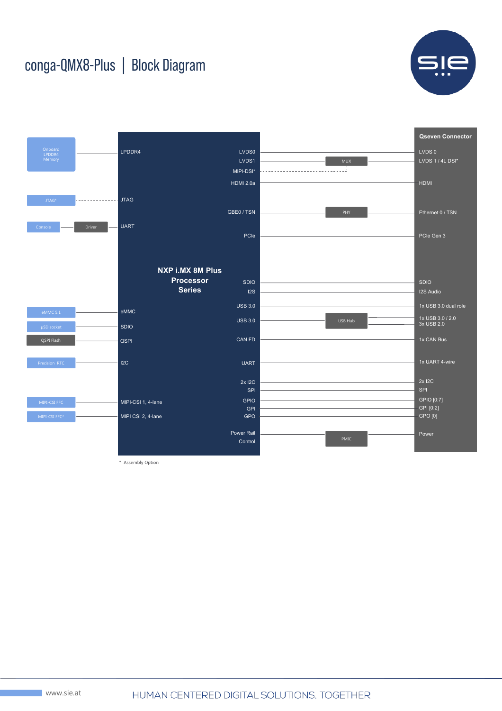## conga-QMX8-Plus | Block Diagram





\* Assembly Option